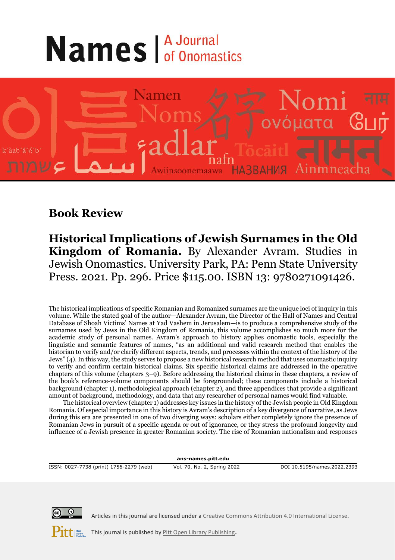## **Names** *A Journal*



## **Book Review**

**Historical Implications of Jewish Surnames in the Old Kingdom of Romania.** By Alexander Avram. Studies in Jewish Onomastics. University Park, PA: Penn State University Press. 2021. Pp. 296. Price \$115.00. ISBN 13: 9780271091426.

The historical implications of specific Romanian and Romanized surnames are the unique loci of inquiry in this volume. While the stated goal of the author—Alexander Avram, the Director of the Hall of Names and Central Database of Shoah Victims' Names at Yad Vashem in Jerusalem—is to produce a comprehensive study of the surnames used by Jews in the Old Kingdom of Romania, this volume accomplishes so much more for the academic study of personal names. Avram's approach to history applies onomastic tools, especially the linguistic and semantic features of names, "as an additional and valid research method that enables the historian to verify and/or clarify different aspects, trends, and processes within the context of the history of the Jews" (4). In this way, the study serves to propose a new historical research method that uses onomastic inquiry to verify and confirm certain historical claims. Six specific historical claims are addressed in the operative chapters of this volume (chapters 3–9). Before addressing the historical claims in these chapters, a review of the book's reference-volume components should be foregrounded; these components include a historical background (chapter 1), methodological approach (chapter 2), and three appendices that provide a significant amount of background, methodology, and data that any researcher of personal names would find valuable.

The historical overview (chapter 1) addresses key issues in the history of the Jewish people in Old Kingdom Romania. Of especial importance in this history is Avram's description of a key divergence of narrative, as Jews during this era are presented in one of two diverging ways: scholars either completely ignore the presence of Romanian Jews in pursuit of a specific agenda or out of ignorance, or they stress the profound longevity and influence of a Jewish presence in greater Romanian society. The rise of Romanian nationalism and responses

**ans-names.pitt.edu**

ISSN: 0027-7738 (print) 1756-2279 (web) Vol. 70, No. 2, Spring 2022 DOI 10.5195/names.2022.2393



Articles in this journal are licensed under [a Creative Commons Attribution 4.0 International License.](https://creativecommons.org/licenses/by/4.0/)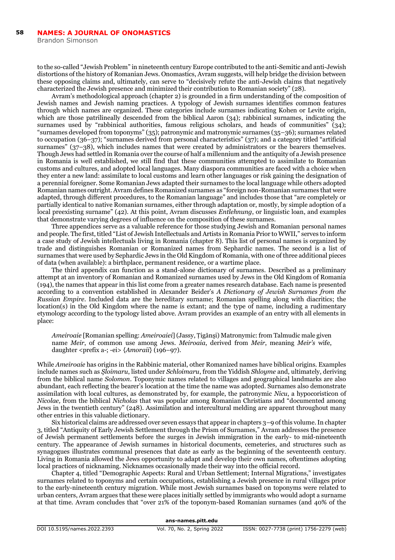to the so-called "Jewish Problem" in nineteenth century Europe contributed to the anti-Semitic and anti-Jewish distortions of the history of Romanian Jews. Onomastics, Avram suggests, will help bridge the division between these opposing claims and, ultimately, can serve to "decisively refute the anti-Jewish claims that negatively characterized the Jewish presence and minimized their contribution to Romanian society" (28).

Avram's methodological approach (chapter 2) is grounded in a firm understanding of the composition of Jewish names and Jewish naming practices. A typology of Jewish surnames identifies common features through which names are organized. These categories include surnames indicating Kohen or Levite origin, which are those patrilineally descended from the biblical Aaron (34); rabbinical surnames, indicating the surnames used by "rabbinical authorities, famous religious scholars, and heads of communities" (34); "surnames developed from toponyms" (35); patronymic and matronymic surnames (35–36); surnames related to occupation (36–37); "surnames derived from personal characteristics" (37); and a category titled "artificial surnames" (37–38), which includes names that were created by administrators or the bearers themselves. Though Jews had settled in Romania over the course of half a millennium and the antiquity of a Jewish presence in Romania is well established, we still find that these communities attempted to assimilate to Romanian customs and cultures, and adopted local languages. Many diaspora communities are faced with a choice when they enter a new land: assimilate to local customs and learn other languages or risk gaining the designation of a perennial foreigner. Some Romanian Jews adapted their surnames to the local language while others adopted Romanian names outright. Avram defines Romanized surnames as "foreign non-Romanian surnames that were adapted, through different procedures, to the Romanian language" and includes those that "are completely or partially identical to native Romanian surnames, either through adaptation or, mostly, by simple adoption of a local preexisting surname" (42). At this point, Avram discusses *Entlehnung*, or linguistic loan, and examples that demonstrate varying degrees of influence on the composition of these surnames.

Three appendices serve as a valuable reference for those studying Jewish and Romanian personal names and people. The first, titled "List of Jewish Intellectuals and Artists in Romania Prior to WWII," serves to inform a case study of Jewish intellectuals living in Romania (chapter 8). This list of personal names is organized by trade and distinguishes Romanian or Romanized names from Sephardic names. The second is a list of surnames that were used by Sephardic Jews in the Old Kingdom of Romania, with one of three additional pieces of data (when available): a birthplace, permanent residence, or a wartime place.

The third appendix can function as a stand-alone dictionary of surnames. Described as a preliminary attempt at an inventory of Romanian and Romanized surnames used by Jews in the Old Kingdom of Romania (194), the names that appear in this list come from a greater names research database. Each name is presented according to a convention established in Alexander Beider's *A Dictionary of Jewish Surnames from the Russian Empire*. Included data are the hereditary surname; Romanian spelling along with diacritics; the location(s) in the Old Kingdom where the name is extant; and the type of name, including a rudimentary etymology according to the typology listed above. Avram provides an example of an entry with all elements in place:

*Ameiroaie* [Romanian spelling: *Ameiroaiei*] (Jassy, Ṭigǎnşi) Matronymic: from Talmudic male given name *Meir*, of common use among Jews. *Meiroaia*, derived from *Meir*, meaning *Meir's* wife, daughter <prefix a-; -ei> {*Amoraii*} (196–97).

While *Ameiroaie* has origins in the Rabbinic material, other Romanized names have biblical origins. Examples include names such as *Şloimaru*, listed under *Schloimaru*, from the Yiddish *Shloyme* and, ultimately, deriving from the biblical name *Solomon*. Toponymic names related to villages and geographical landmarks are also abundant, each reflecting the bearer's location at the time the name was adopted. Surnames also demonstrate assimilation with local cultures, as demonstrated by, for example, the patronymic *Nicu*, a hypocoristicon of *Nicolae,* from the biblical *Nicholas* that was popular among Romanian Christians and "documented among Jews in the twentieth century" (248). Assimilation and intercultural melding are apparent throughout many other entries in this valuable dictionary.

Six historical claims are addressed over seven essays that appear in chapters 3–9 of this volume. In chapter 3, titled "Antiquity of Early Jewish Settlement through the Prism of Surnames," Avram addresses the presence of Jewish permanent settlements before the surges in Jewish immigration in the early- to mid-nineteenth century. The appearance of Jewish surnames in historical documents, cemeteries, and structures such as synagogues illustrates communal presences that date as early as the beginning of the seventeenth century. Living in Romania allowed the Jews opportunity to adapt and develop their own names, oftentimes adopting local practices of nicknaming. Nicknames occasionally made their way into the official record.

Chapter 4, titled "Demographic Aspects: Rural and Urban Settlement; Internal Migrations," investigates surnames related to toponyms and certain occupations, establishing a Jewish presence in rural villages prior to the early-nineteenth century migration. While most Jewish surnames based on toponyms were related to urban centers, Avram argues that these were places initially settled by immigrants who would adopt a surname at that time. Avram concludes that "over 21% of the toponym-based Romanian surnames (and 40% of the

**ans-names.pitt.edu**